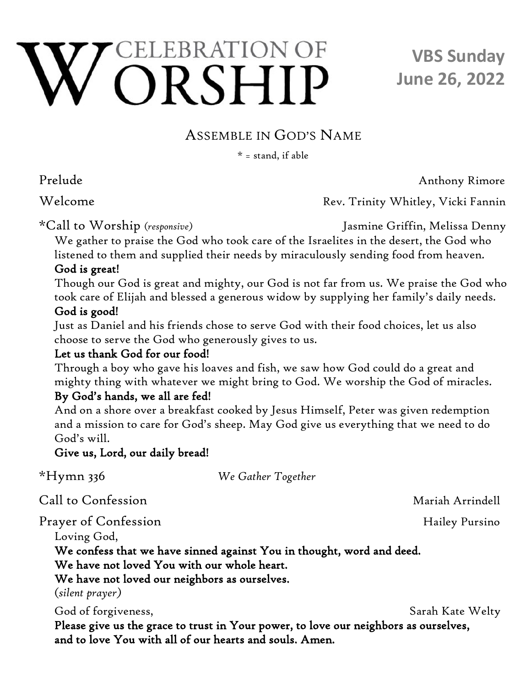# ELEBRATION OF ORSHIP

## **VBS Sunday June 26, 2022**

## ASSEMBLE IN GOD'S NAME

 $* =$  stand, if able

Prelude Anthony Rimore

Welcome Rev. Trinity Whitley, Vicki Fannin

\*Call to Worship (*responsive)* Jasmine Griffin, Melissa Denny

We gather to praise the God who took care of the Israelites in the desert, the God who listened to them and supplied their needs by miraculously sending food from heaven.

#### God is great!

 Though our God is great and mighty, our God is not far from us. We praise the God who took care of Elijah and blessed a generous widow by supplying her family's daily needs.

#### God is good!

 Just as Daniel and his friends chose to serve God with their food choices, let us also choose to serve the God who generously gives to us.

#### Let us thank God for our food!

 Through a boy who gave his loaves and fish, we saw how God could do a great and mighty thing with whatever we might bring to God. We worship the God of miracles.

#### By God's hands, we all are fed!

 And on a shore over a breakfast cooked by Jesus Himself, Peter was given redemption and a mission to care for God's sheep. May God give us everything that we need to do God's will.

#### Give us, Lord, our daily bread!

| $*Hymn$ 336                                                                                  | We Gather Together                                                    |                  |
|----------------------------------------------------------------------------------------------|-----------------------------------------------------------------------|------------------|
| Call to Confession                                                                           |                                                                       | Mariah Arrindell |
| Prayer of Confession<br>Loving God,                                                          |                                                                       | Hailey Pursino   |
| We have not loved You with our whole heart.<br>We have not loved our neighbors as ourselves. | We confess that we have sinned against You in thought, word and deed. |                  |
| (silent prayer)<br>God of forgiveness,                                                       |                                                                       | Sarah Kate Welty |

Please give us the grace to trust in Your power, to love our neighbors as ourselves, and to love You with all of our hearts and souls. Amen.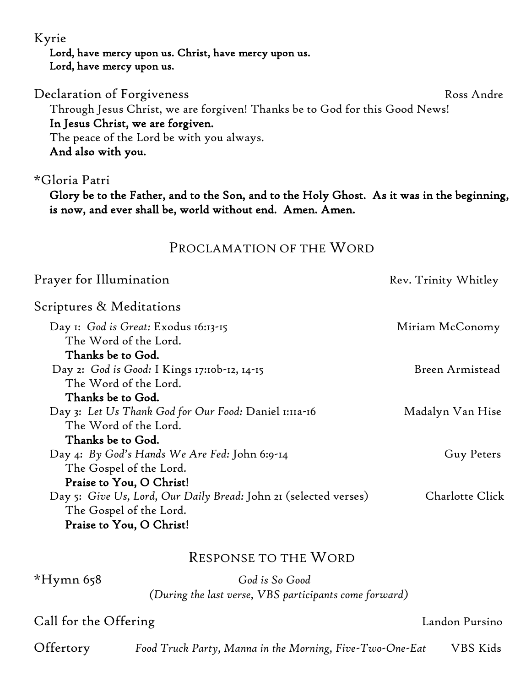Kyrie

 Lord, have mercy upon us. Christ, have mercy upon us. Lord, have mercy upon us.

Declaration of Forgiveness Ross Andre

Through Jesus Christ, we are forgiven! Thanks be to God for this Good News! In Jesus Christ, we are forgiven.

 The peace of the Lord be with you always. And also with you.

#### \*Gloria Patri

Glory be to the Father, and to the Son, and to the Holy Ghost. As it was in the beginning, is now, and ever shall be, world without end. Amen. Amen.

#### PROCLAMATION OF THE WORD

| Prayer for Illumination                                                                     | Rev. Trinity Whitley |
|---------------------------------------------------------------------------------------------|----------------------|
| Scriptures & Meditations                                                                    |                      |
| Day 1: God is Great: Exodus 16:13-15<br>The Word of the Lord.<br>Thanks be to God.          | Miriam McConomy      |
| Day 2: God is Good: I Kings 17:10b-12, 14-15<br>The Word of the Lord.                       | Breen Armistead      |
| Thanks be to God.                                                                           |                      |
| Day 3: Let Us Thank God for Our Food: Daniel 1:11a-16<br>The Word of the Lord.              | Madalyn Van Hise     |
| Thanks be to God.                                                                           |                      |
| Day 4: By God's Hands We Are Fed: John 6:9-14<br>The Gospel of the Lord.                    | Guy Peters           |
| Praise to You, O Christ!                                                                    |                      |
| Day 5: Give Us, Lord, Our Daily Bread: John 21 (selected verses)<br>The Gospel of the Lord. | Charlotte Click      |
| Praise to You, O Christ!                                                                    |                      |

#### RESPONSE TO THE WORD

\*Hymn 658 *God is So Good (During the last verse, VBS participants come forward)*

#### Call for the Offering Call for the Offering Call for the Offering Call for the Offering

Offertory *Food Truck Party, Manna in the Morning, Five-Two-One-Eat* VBS Kids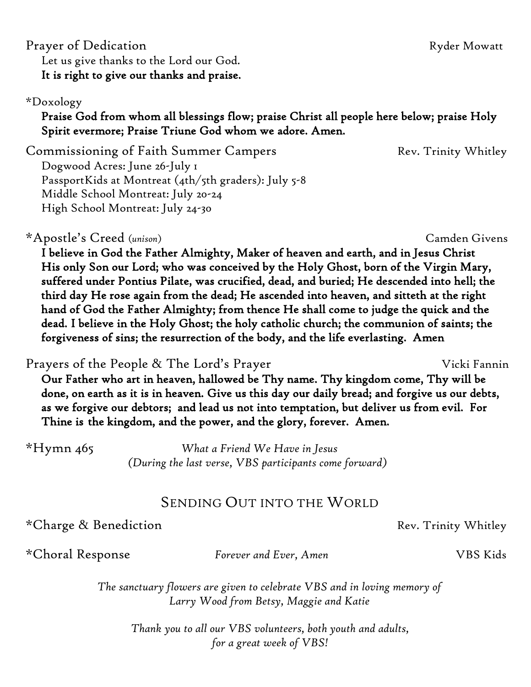#### Prayer of Dedication **Ryder Mowatt** Let us give thanks to the Lord our God. It is right to give our thanks and praise.

#### \*Doxology

#### Praise God from whom all blessings flow; praise Christ all people here below; praise Holy Spirit evermore; Praise Triune God whom we adore. Amen.

Commissioning of Faith Summer Campers The Rev. Trinity Whitley Dogwood Acres: June 26-July 1 PassportKids at Montreat (4th/5th graders): July 5-8 Middle School Montreat: July 20-24 High School Montreat: July 24-30

\*Apostle's Creed (*unison*) Camden Givens

I believe in God the Father Almighty, Maker of heaven and earth, and in Jesus Christ His only Son our Lord; who was conceived by the Holy Ghost, born of the Virgin Mary, suffered under Pontius Pilate, was crucified, dead, and buried; He descended into hell; the third day He rose again from the dead; He ascended into heaven, and sitteth at the right hand of God the Father Almighty; from thence He shall come to judge the quick and the dead. I believe in the Holy Ghost; the holy catholic church; the communion of saints; the forgiveness of sins; the resurrection of the body, and the life everlasting. Amen

Prayers of the People & The Lord's Prayer Nicki Fannin Our Father who art in heaven, hallowed be Thy name. Thy kingdom come, Thy will be done, on earth as it is in heaven. Give us this day our daily bread; and forgive us our debts, as we forgive our debtors; and lead us not into temptation, but deliver us from evil. For Thine is the kingdom, and the power, and the glory, forever. Amen.

\*Hymn 465 *What a Friend We Have in Jesus (During the last verse, VBS participants come forward)*

### SENDING OUT INTO THE WORLD

\*Charge & Benediction **Rev. Trinity Whitley** \*

\*Choral Response *Forever and Ever, Amen* VBS Kids

*The sanctuary flowers are given to celebrate VBS and in loving memory of Larry Wood from Betsy, Maggie and Katie* 

*Thank you to all our VBS volunteers, both youth and adults, for a great week of VBS!*